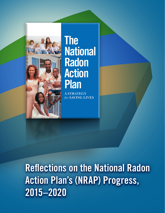



# **The National Radon Action Plan**

**RATEGY** for **SAVING LIVES** 

Reflections on the National Radon Action Plan's (NRAP) Progress, 2015–2020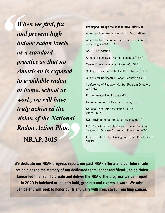*When we find, fix and prevent high indoor radon levels as a standard practice so that no American is exposed to avoidable radon at home, school or work, we will have truly achieved the vision of the National Radon Action Plan.* **—NRAP, 2015**

**Developed through the collaborative efforts of:**  American Lung Association (Lung Association) American Association of Radon Scientists and Technologists (AARST) AARST Foundation American Society of Home Inspectors (ASHI) Cancer Survivors Against Radon (CanSAR) Children's Environmental Health Network (CEHN) Citizens for Radioactive Radon Reduction (CR3) Conference of Radiation Control Program Directors (CRCPD) Environmental Law Institute (ELI) National Center for Healthy Housing (NCHH) National Tribal Air Association (NTAA) (since 2017) U.S. Environmental Protection Agency (EPA) U.S. Department of Health and Human Services, Centers for Disease Control and Prevention (CDC) U.S. Department of Housing and Urban Development (HUD)

**We dedicate our NRAP progress report, our past NRAP efforts and our future radon action plans to the memory of our dedicated team leader and friend, Janice Nolen. Janice led this team to create and deliver the NRAP. The progress we can report in 2020 is indebted to Janice's bold, gracious and righteous work. We miss Janice and will seek to honor our friend daily with lives saved from lung cancer.**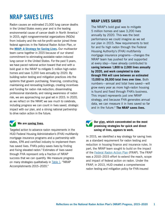## NRAP SAVES LIVES

Radon causes an estimated 21,000 lung cancer deaths in the United States every year and is the leading environmental cause of cancer death in North America.<sup>1</sup> In 2015, eight nongovernmental organizations (NGOs) from industry and the not-for-profit sector joined three federal agencies in the National Radon Action Plan, or the **[NRAP: A Strategy for Saving Lives.](http://www.radonleaders.org/resources/nationalradonactionplan)** Our multisector team came together in 2015 because of our shared commitment to eliminating avoidable radon-induced lung cancer in the United States. For the past 5 years, we have paced national action toward that end with a bold goal in the NRAP to mitigate 5 million high-radon homes and save 3,200 lives annually by 2020. By building radon testing and mitigation practices into the systems that govern purchasing, financing, constructing, maintaining and renovating buildings; creating incentives and funding for radon risk reduction; disseminating professional standards; and raising awareness of radon risk, we are approaching our goal set in 2015. In 2020, as we reflect on the NRAP, we see much to celebrate, including progress we can count in lives saved, strategic impact with our plan, and a strong national partnership to drive radon action in the future.

#### **We are saving lives.**

Targeted action to advance radon requirements in the HUD Federal Housing Administration's (FHA) multifamily mortgage insurance programs and a partnership with states, EPA and certified industry to implement them has saved lives. FHA's policy saves lives by finding and fixing elevated radon[.2](#page-9-0) Estimates of lives saved through FHA represent only a fraction of NRAP success that we can quantify. We measure progress on many strategies qualitatively in  $Table 1$ , "NRAP Accomplishments 2015–2020."

#### **NRAP LIVES SAVED**

The NRAP's bold goal was to mitigate 5 million homes and save 3,200 lives annually by 2020. This was the best performance we could imagine as we set our plan in 2015. New requirements to test for and fix high radon through the Federal Housing Authority's (FHA) multifamily mortgage insurance programs—changes the NRAP team has pushed for and supported at every step—have already contributed to **saving between 1,800 to 2,000 lives annually by 2020, and work completed to date through FHA will save between an estimated 13,000 to 26,000 total lives over time.** Both numbers—annual and total lives saved—will grow every year as more high-radon housing is found and fixed through FHA's business. This impact represents just one NRAP strategy, and because FHA generates annual data, we can measure it in lives saved so far and in the future[.2](#page-9-0) **The NRAP saves lives.**

#### **Our plan, which concentrated on the most promising strategies for quick and direct saving of lives, appears to work.**

In 2015, we identified a key strategy for saving lives as a standard requirement for radon testing and reduction in housing finance and insurance rules. In part, the NRAP team sought to build on the impact of the [Federal Radon Action Plan](https://www.epa.gov/radon/federal-radon-action-plan-frap) (FRAP). The FRAP was a 2010–2015 effort to extend the reach, scope and impact of federal action on radon. Under the FRAP, in 2013, HUD created a comprehensive radon testing and mitigation policy for FHA-insured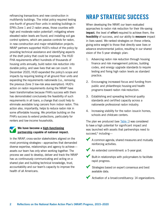refinancing transactions and new construction in multifamily buildings. The initial policy required testing one-fourth of ground floor units in existing buildings in EPA's Zone 1 and 2 radon areas, those counties with high and moderate radon potential<sup>3</sup>; mitigating where elevated radon levels are found; and installing soil gas control systems, which are passive controls for radon, in new construction and major rehabilitation projects. NRAP partners supported HUD's rollout of the policy by providing technical assistance and identifying aspects of the draft policy that could be improved. The HUD FHA requirements affect hundreds of thousands of housing units annually, build radon risk reduction into durable policy, and save lives that we can count. In December 2020, HUD expanded the policy's scope and impacts by requiring testing of all ground floor units and expanding the requirements nationwide (i.e., removing the previous Zone 3 low-risk area exemption). HUD's action on radon requirements during the NRAP have been transformative because FHA's success with them has demonstrated conclusively the feasibility of such requirements in all loans, a change that could help to eliminate avoidable lung cancers from indoor radon. This action also, importantly, helps to reduce radon risk in some affordable housing. We prioritize building on the FHA's success to extend protections, particularly for renters and low-income households.

#### **We have become a high-functioning partnership capable of national impact.**

In the NRAP, cross-sector stakeholders aligned on the most promising strategies—approaches that demanded diverse expertise, relationships and agency to achieve assets our team has only when working together. The process we used to develop, deliver and track the NRAP has us continuously communicating and acting on a shared plan and building technical knowledge, trust, accountability and our team's capacity to improve the health of all Americans.

# NRAP STRATEGIC SUCCESS

When developing the NRAP, our team evaluated approaches to radon risk reduction for their life-saving **impact**, the level of **effort** required to achieve them, the **feasibility** of success, and our ability to **measure** impact in lives saved. We ranked strategies on these criteria, giving extra weight to those that directly save lives or advance environmental justice, resulting in our shared vision of the 5-year strategic plan:

- 1. Advancing radon risk reduction through housing finance and risk management policies, building codes, and energy upgrade standards to require testing and fixing high radon levels as standard practice.
- 2. Encouraging increased focus and funding from public and philanthropic housing and health programs toward radon risk reduction.
- 3. Establishing and spreading technical quality standards and certified capacity across a nationwide professional radon industry.
- 4. Increasing visibility for the radon issue in homes, schools and childcare centers.

The plan we produced (see [Table 1](#page-7-0)) was considered to have a high potential for significant impact and was launched with assets that partnerships need to succeed, $4$  including—

- A common agenda, shared measures and mutually reinforcing activities.
- An extended commitment: a 5-year goal.
- Built-in relationships with policymakers to facilitate rapid progress.
- Strategies based on expert consensus and best available data.
- Activation of a broad constituency: 14 organizations.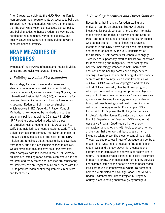After 5 years, we celebrate the HUD FHA multifamily loan program radon requirements as success to build on. Through their implementation, we have demonstrated that the path we envision can succeed. Lender policy and building codes, enhanced radon risk warning and notification requirements, workforce capacity, and quality assurance systems are being guided toward a coherent national strategy.

### NRAP MEASURES OF PROGRESS

Evidence of the NRAP's influence and impact is visible across the strategies we targeted, including—

#### *1. Building-In Radon Risk Reduction*

This strategy focuses on embedding rules and standards to reduce radon risk, including building codes, a potentially enormous lever. Every 3 years, the International Residential Code (IRC), a model code for one- and two-family homes and low-rise townhomes, is updated. Radon control in new construction, which appears in IRC Appendix F, Radon Control Methods, is now required by hundreds of counties and municipalities, as well as 10 states.<sup>[5](#page-9-0)</sup> In 2019, NRAP partners succeeded in advancing a postconstruction testing requirement into Appendix F to verify that installed radon control systems work. This is a significant accomplishment. Improving radon control through building codes lies at the heart of the NRAP mission and remains a potent opportunity to save lives from radon, but it is a challenging change to achieve. We acknowledged this objective as a long-term goal with a complex path to success in the NRAP. Already, builders are installing radon control even where it is not required, and many states and localities are considering requirements. We are eager to build on success with the IRC to promote radon control requirements in all state and local codes.

#### *2. Providing Incentives and Direct Support*

Recognizing that financing for radon testing and mitigation can be an obstacle, Strategy 2 seeks incentives for people who can afford to pay—to make radon testing and mitigation convenient and even taxfree—and to direct funds to reduce the risk for people who cannot afford it. The tax incentive strategies identified in the NRAP have not yet been implemented and depend on action by the U.S. Department of the Treasury. NRAP partners will continue to engage Treasury and support any effort to finalize tax incentives for radon testing and mitigation. Radon testing has become increasingly standard in both market-rate and low-income healthy homes and energy service offerings. Examples include the Energy+Health models seen across the country, such as the Columbia Gas of Ohio (CGOH) WarmChoice® program and the City of Fort Collins, Colorado, Healthy Homes program, which promotes radon testing and provides mitigation support for low-income homeowners.<sup>[6](#page-9-0)</sup> We also see new guidance and training for energy service providers on how to address housing-based health risks, including radon during energy retrofits. For example, EPA's Indoor airPLUS Program, the Building Performance Institute's Healthy Homes Evaluator certification and the U.S. Department of Energy's (DOE) Weatherization Assistance Program (WAP) equip home energy contractors, among others, with tools to assess homes and ensure that their work at least does no harm, including taking preventive steps to control radon risk. Though we see progress in use of precautionary controls, much more investment is needed to find and fix high radon levels and thereby prevent lung cancers and capture health care savings and years of healthy life in return. The demonstrated potential for social investment in radon is strong, even decoupled from energy services. For example, some of the nation's highest indoor radon levels are found in Pennsylvania, where 40 percent of homes are predicted to have high radon. The MOVES Radon Environmental Justice Project in Allegheny County is coordinating charitable giving through a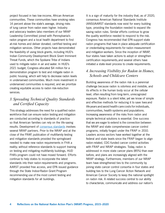project focused in two low-income, African American communities. These communities have smoking rates 14 percent above the state's average, driving risks of lung cancer from radon even higher. Industry and advocacy leaders (also members of our NRAP Leadership Committee) joined with Pennsylvania's radon program and a local health department to find at-risk homes and deliver donated, certified testing and mitigation services. Other projects have demonstrated the feasibility of using block grants, including HUD's Indian Community Development Block Grant Imminent Threat Funds, which the Spokane Tribe of Indians used to mitigate radon in air and water. In HUD's 2021 budget, Congress allocated \$4 million for a demonstration program to test and mitigate radon in public housing, which will help to decrease radon levels in underserved communities. Much more investment in underserved communities is required, and we prioritize creating equitable access to radon risk-reduction services.

#### *3. Spreading Technical Quality Standards and Certified Capacity*

This strategy addresses the need for a qualified radon workforce that can ensure radon testing and mitigation are conducted according to standards of practice so that American families can rely on the life-saving results. Development of [consensus standards](https://standards.aarst.org/) involves several NRAP partners. Prior to the NRAP and at the close of the FRAP, publication of multifamily testing and mitigation standards provided the springboard needed to make new radon requirements in FHA a reality; without reference standards to support training on testing and mitigating multifamily buildings, HUD FHA's program could not have moved forward. Efforts continue to help states to incorporate the latest standards into their radon requirements and programs. AARST provided free access, and EPA issued guidance through the State Indoor Radon Grant Program recommending use of the most current testing and mitigation standards for all buildings.

It is a sign of maturity for the industry that, as of 2020, consensus American National Standards Institute (ANSI)/AARST standards now exist for every building type, providing the foundation needed to expand lifesaving radon rules. Similar efforts continue to grow the quality workforce needed to respond to the risk. Congress has recommended that EPA support state radon programs that have in place adequate certification or credentialing requirements for radon measurement and mitigation workers. Since the inception of NRAP, four states have taken actions to adopt or strengthen certification requirements, and several others have initiated a state-level process to create requirements.

#### *4. Increasing Visibility for Radon in Homes, Schools and Childcare Centers*

Building awareness of the radon risk is a perennial challenge because radon is odorless and invisible, and its effects in the human body occur at the cellular level, often resulting from long-term, unrecognized exposure. Radon is a silent killer, yet we know of simple and effective methods for reducing it to save lives and life years and avoid health care costs for individuals, communities, health systems and populations. Increasing awareness of the risks from radon and simple technical solutions is essential. One success that we are eager to extend is the connection between the NRAP and state comprehensive cancer control programs, initially forged under the FRAP in 2010. Leaders across sectors have worked together at the federal and state levels since the FRAP began to align radon-related, CDC-funded cancer control activities with FRAP and NRAP strategies. Today, radon is addressed in more state cancer plans (85%) than ever before, and plans are increasingly aligned with the NRAP strategy. Furthermore, members of our NRAP team have strengthened ties to the community by joining state cancer control consortia in four states and building ties to the Lung Cancer Action Network and American Cancer Society to keep the national spotlight on radon risk. A related success central to our ability to characterize, communicate and address our nation's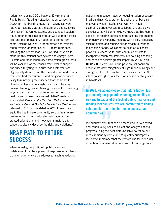radon risk is using CDC's National Environmental Public Health Tracking Network's radon dataset. In 2020, for the first time ever, the Tracking Network has radon testing data at the state and county levels for most of the United States, and users can explore the number of buildings tested, as well as radon levels pre- and post-mitigation. Radon data come from some Tracking Network–funded states and national radon testing laboratories. NRAP team members, including the project lead, CDC, worked for years to stand up this national data system and engage users. As state and radon laboratory participation grows, data will be available at the census-tract level to support fine-tuned targeting for future radon interventions. High-quality data to map the risk reduction and results from certified measurement and mitigation services is key to reinforcing the evidence that the benefits of radon mitigation outweigh the costs of treating preventable lung cancer. Making the case for preventing lung cancer from radon is important for reaching health care professionals as well. NRAP leaders shepherded *Reducing the Risk from Radon: Information and Interventions: A Guide for Health Care Providers* released in 2018 and updated in 2020 to reach and equip the health care community so that health care professionals, in turn, educate their patients—and created educational and motivational materials for schools to visually describe the risks and solutions.<sup>7</sup>

### NRAP PATH TO FUTURE **SUCCESS**

When industry, nonprofit and public agencies collaborate, it can be a powerful response to problems that cannot otherwise be addressed, such as reducing

national lung cancer rates by reducing radon exposure in all buildings. Cooperation is challenging, but also motivating when it saves lives. Our NRAP team exemplifies effectiveness in collaboration, and as we consider what will come next, we know that this team is good at partnering across sectors, sharing information thoroughly and regularly, meeting with allies, discussing sticking points and refining our approach to respond to changing needs. We expect to build on our most powerful success so far with continued efforts to incorporate radon requirements into housing financing and codes to achieve greater impact by 2025 in an **NRAP 2.0.** As we have in the past, we will focus on actions that drive mitigations of high-radon buildings and strengthen the infrastructure for quality services. We intend to strengthen our focus on environmental justice in NRAP 2.0.

In 2020, we acknowledge that risk reduction lags, particularly for populations facing an inability to pay and because of the lack of public financing and funding mechanisms. We are committed to finding solutions for the radon burden in underserved communities.

We prioritize work that can be measured in lives saved and continuously seek to collect and analyze national progress using the best data available, to refine our measurement systems, and to quantify our impacts. We always remember that the bottom line for radon risk reduction is measured in lives saved from lung cancer.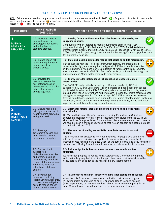#### **TABLE 1. NRAP ACCOMPLISHMENTS, 2015–202 0**

<span id="page-7-0"></span>KEY: Estimates are based on progress we can document on outcomes we aimed for in 2015.  $\blacktriangledown$  = Progress contributed to measurably increasing lives saved from radon.  $\bigoplus$  = Progress is on track to affect change(s) that we expect to increase lives saved but cannot measure.  $\bigcirc$  = Progress has been minimal.

| <b>PRIORITIES</b>                                                 | <b>NRAP STRATEGIES,</b><br>2015-2020                                                                                                                                                                       | PROGRESS TOWARD TARGET OUTCOMES (IN BOLD)                                                                                                                                                                                                                                                                                                                                                                                                                                                                                                                                                                                                                                                                                                   |
|-------------------------------------------------------------------|------------------------------------------------------------------------------------------------------------------------------------------------------------------------------------------------------------|---------------------------------------------------------------------------------------------------------------------------------------------------------------------------------------------------------------------------------------------------------------------------------------------------------------------------------------------------------------------------------------------------------------------------------------------------------------------------------------------------------------------------------------------------------------------------------------------------------------------------------------------------------------------------------------------------------------------------------------------|
| <b>BUILD-IN</b><br><b>RADON RISK</b><br><b>REDUCTION</b>          | 1.1 Work with housing<br>finance [sector] to<br>encourage radon testing<br>and mitigation as a<br>standard practice.                                                                                       | 1.1 Housing finance and insurance industries increase radon testing and<br>mitigation in homes.<br>Continued growth in integrating radon requirements across some HUD<br>programs, including FHA's Residential Care Facility (2017); Rental Assistance<br>Demonstration (2019); and Multifamily Accelerated Processing (MAP) Guide (2013,<br>2016, 2020), which provides guidance about implementing FHA mortgage insurance<br>for multifamily housing.                                                                                                                                                                                                                                                                                     |
|                                                                   | 1.2 Embed radon risk-<br>reduction requirements<br>in state and local<br>building codes.                                                                                                                   | 1.2 State and local building codes require that homes be built to resist radon.<br>Partial success with the IRC: post-construction testing, and mitigation if<br>radon level is high, are now required in Appendix F if the appendix is adopted<br>by the jurisdiction. We need universal adoption of radon control requirements.<br>Also, some success with ASHRAE 189.1/IGCC for large multifamily buildings, and<br>Connecticut and Maine added state-wide requirements.                                                                                                                                                                                                                                                                 |
|                                                                   | 1.3 Develop the<br>research base on the<br>cost-effectiveness of<br>preventive and mitigation<br>actions for radon in<br>energy upgrades.                                                                  | 1.3 Energy upgrades include radon risk reduction as standard practice<br>where needed.<br>The BARRIER study, initially funded by HUD and expanded by DOE with<br>support from EPA, involved several NRAP members and had a research agenda<br>partly established under the FRAP. The study demonstrated that simple, low-cost<br>precautionary radon interventions curb increases in radon that might otherwise occur<br>during home energy retrofits. This encouraged DOE WAP to adopt the measures<br>(sealing foundations, covering open sump pits, etc.) where elevated radon levels may<br>be present, to add an informed consent requirement for clients, and to add proper<br>vapor barrier installation training for practitioners. |
| 2.<br><b>PROVIDE</b><br><b>INCENTIVES &amp;</b><br><b>SUPPORT</b> | 2.1 Ensure radon is a<br>priority risk addressed in<br>healthy homes programs<br>and grant-making.                                                                                                         | 2.1 Criteria for national programs promoting healthy homes include radon<br>risk reduction.<br>HUD's Health@Home: High-Performance Housing Rehabilitation Guidelines<br>adopted an expanded version of the precautionary measures from the BARRIER<br>study, and the Enterprise Green Communities criteria also reference them. However,<br>we have not seen significant new funding that we can connect to measurable radon<br>risk reduction since 2015.                                                                                                                                                                                                                                                                                  |
|                                                                   | 2.2 Leverage<br>government-backed and<br>other housing loans to<br>cover radon mitigation.                                                                                                                 | 2.2 New sources of funding are available to motivate owners to test and<br>mitigate.<br>The intent with this strategy is to create incentives for people who can afford<br>it to pay to reduce their risk. No significant new incentives have been built<br>intomarket-rate housing loans since 2015, so we consider this a strategy for further<br>development. Moving forward, we will continue to push for action in this area.                                                                                                                                                                                                                                                                                                          |
|                                                                   | 2.3 Secure direct<br>support from<br>philanthropies, charities<br>and others, including<br>governments, to reduce<br>radon risk for low-income<br>Americans in homes,<br>schools and childcare<br>centers. | 2.3 Radon mitigation is financed where occupants are unable to afford<br>mitigation.<br>We have seen progress in Pennsylvania, Colorado and Connecticut on grants<br>and charitable giving, but little direct support has been provided relative to the<br>need, particularly considering the risks facing low-income renters.                                                                                                                                                                                                                                                                                                                                                                                                              |
|                                                                   | 2.4 Leverage tax<br>incentives, including<br>Health Savings Accounts,<br>to cover radon mitigation<br>costs to reduce cancer-<br>related health care costs.                                                | 2.4 Tax incentives exist that increase voluntary radon testing and mitigation.<br>When the NRAP launched, there was an indication that radon testing and<br>mitigation might be included as an IRS-approved Health Savings Account<br>(HSA) expenditure, but we have not been able to advance federal policy in this<br>area. Moving forward, we will continue to push for action in this area.                                                                                                                                                                                                                                                                                                                                             |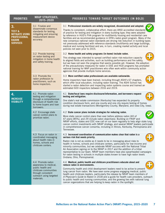| <b>PRIORITIES</b>                                                                                          | <b>NRAP STRATEGIES,</b><br>2015-2020                                                                                                                    | PROGRESS TOWARD TARGET OUTCOMES (IN BOLD)                                                                                                                                                                                                                                                                                                                                                                                                                                                                                                                                                                                                                                                                                          |
|------------------------------------------------------------------------------------------------------------|---------------------------------------------------------------------------------------------------------------------------------------------------------|------------------------------------------------------------------------------------------------------------------------------------------------------------------------------------------------------------------------------------------------------------------------------------------------------------------------------------------------------------------------------------------------------------------------------------------------------------------------------------------------------------------------------------------------------------------------------------------------------------------------------------------------------------------------------------------------------------------------------------|
| 3.<br><b>TEST &amp;</b><br><b>MITIGATE USING</b><br><b>PROFESSIONAL</b><br><b>RADON</b><br><b>SERVICES</b> | 3.1 Finalize and<br>disseminate consensus<br>standards for testing,<br>mitigating and ensuring<br>measurement device<br>accuracy.                       | 3.1 Professional standards are widely recognized, disseminated and adopted.<br>Thanks to consistent, collaborative effort, there are ANSI accredited standards<br>of practice for testing and mitigation in every building type; they were adopted<br>by reference in HUD's FHA program for multifamily housing and residential care<br>facilities and as recommended guidance in EPA's radon grant program. Many of the<br>new consensus national radon standards are driving risk reduction in building types<br>not previously addressed with reference standards (multifamily and large buildings,<br>medical and nursing facilities) and are, in turn, creating market activity and local<br>policies not seen prior to 2015. |
|                                                                                                            | 3.2 Provide training<br>on radon testing and<br>mitigation in home health<br>and safety training.                                                       | 3.2 Home health and safety programs (in-home) include radon.<br>This strategy was intended to spread certified radon risk-reduction capacity<br>to aligned fields and activities, such as building performance and fire safety,<br>but we have not seen the progress that seems possible yet. However, the adoption<br>of the precautionary measures for radon in DOE and HUD programs has prompted<br>national training for WAP practitioners who often work within community action<br>agencies that provide multiple home services.                                                                                                                                                                                             |
|                                                                                                            | 3.3 Promote the<br>radon profession to<br>practitioners, such as<br>home inspectors.                                                                    | 3.3 More certified radon professionals are available nationwide.<br>Home inspectors have been trained, including through ASHI's 67 chapters,<br>which offer local education, including radon training. The ASHI School has<br>started a radon detection and inspecting radon systems course and trained an<br>estimated 600 inspectors between 2016 and 2019.                                                                                                                                                                                                                                                                                                                                                                      |
| 4.<br><b>INCREASE</b><br><b>VISIBILITY</b>                                                                 | 4.1 Promote radon<br>testing and mitigation<br>through a comprehensive<br>disclosure of health risk<br>to home buyers and loan<br>borrowers.            | 4.1 State/local laws require disclosure/information, and borrowers request<br>testing and mitigation.<br>One state's real estate commission (Kentucky) has expanded its property<br>condition disclosure form, and one county and one city require testing of homes<br>during real estate transactions (Montgomery County, Maryland, and Iowa City, Iowa).                                                                                                                                                                                                                                                                                                                                                                         |
|                                                                                                            | 4.2 Encourage state<br>cancer control plans to<br>prioritize radon.                                                                                     | 4.2 State cancer plans include strategies for reducing radon.<br>More state cancer control plans than ever before address radon (40 of<br>47 plans [85%], and 29 include radon objectives). Building on FRAP and<br>NRAP efforts, states and CDC now call on our team regularly to help align state lung<br>cancer control investments with NRAP strategy, and several NRAP leaders participate<br>in comprehensive cancer consortia, including in Illinois, Kentucky, Pennsylvania and<br>Tennessee.                                                                                                                                                                                                                              |
|                                                                                                            | 4.3 Focus on radon in<br>coordinated messaging<br>about health risks in<br>homes, schools and<br>childcare centers.                                     | 4.3 Increased coordination of communication makes clear that radon is a<br>serious risk that needs priority.                                                                                                                                                                                                                                                                                                                                                                                                                                                                                                                                                                                                                       |
|                                                                                                            |                                                                                                                                                         | Radon risk is not as visible as it needs to be in messaging about risks to<br>health in homes, schools and childcare centers, particularly for low-income and<br>minority communities, but we celebrate NRAP success with the National Tribal<br>Air Association signing on to the NRAP in 2017 and the addition of a tribal<br>representative to our team. NRAP team members have also spearheaded campaigns<br>for radon testing in schools in multiple states known to have high radon levels<br>(Indiana, Ohio, Pennsylvania).                                                                                                                                                                                                 |
|                                                                                                            | 4.4 Promote radon<br>awareness to medical.<br>public health and<br>childcare communities<br>through consistent<br>outreach using targeted<br>materials. | 4.4 Medical, public health and childcare practitioners educate about and<br>reduce radon in environments.<br>Community health and child development leaders need to be active to prevent<br>lung cancer from radon. We have seen some progress engaging medical, public<br>health and childcare leaders, particularly the release by NRAP team members of<br>A Physician's Guide to Radon in 2018 and a guide for health care providers, outreach<br>to public health and nursing communities, and the growing ties with national lung<br>cancer organizations that are helping to keep radon in the spotlight.                                                                                                                    |